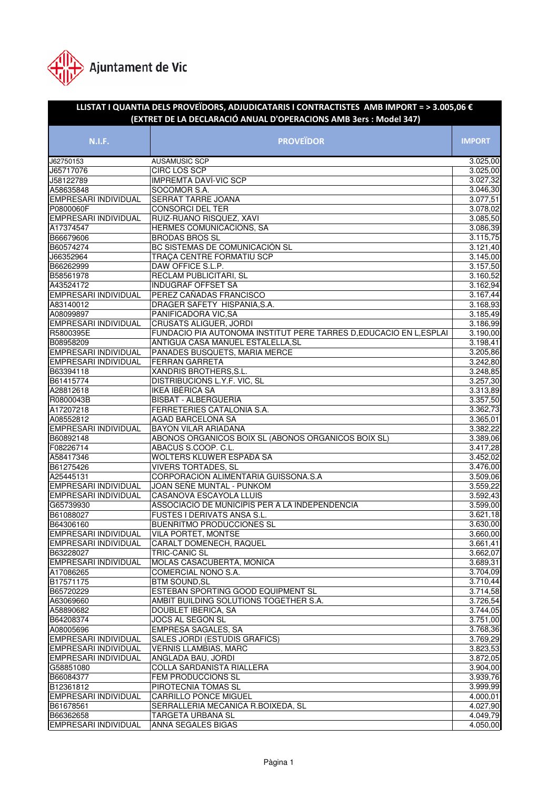

| LLISTAT I QUANTIA DELS PROVEÏDORS, ADJUDICATARIS I CONTRACTISTES AMB IMPORT = > 3.005,06 $\epsilon$<br>(EXTRET DE LA DECLARACIÓ ANUAL D'OPERACIONS AMB 3ers : Model 347) |                                                                     |                      |  |
|--------------------------------------------------------------------------------------------------------------------------------------------------------------------------|---------------------------------------------------------------------|----------------------|--|
| <b>N.I.F.</b>                                                                                                                                                            | <b>PROVEÏDOR</b>                                                    | <b>IMPORT</b>        |  |
| J62750153                                                                                                                                                                | AUSAMUSIC SCP                                                       | 3.025,00             |  |
| J65717076                                                                                                                                                                | CIRC LOS SCP                                                        | 3.025,00             |  |
| J58122789                                                                                                                                                                | <b>IMPREMTA DAVÍ-VIC SCP</b>                                        | 3.027, 32            |  |
| A58635848                                                                                                                                                                | SOCOMOR S.A.                                                        | 3.046,30             |  |
| EMPRESARI INDIVIDUAL                                                                                                                                                     | <b>SERRAT TARRE JOANA</b>                                           | 3.077,51             |  |
| P0800060F                                                                                                                                                                | <b>CONSORCI DEL TER</b>                                             | 3.078,02             |  |
| EMPRESARI INDIVIDUAL                                                                                                                                                     | RUIZ-RUANO RISQUEZ, XAVI                                            | 3.085,50             |  |
| A17374547                                                                                                                                                                | HERMES COMUNICACIONS, SA                                            | 3.086,39             |  |
| B66679606                                                                                                                                                                | <b>BRODAS BROS SL</b>                                               | 3.115,75             |  |
| B60574274                                                                                                                                                                | BC SISTEMAS DE COMUNICACIÓN SL                                      | 3.121,40             |  |
| J66352964                                                                                                                                                                | TRAÇA CENTRE FORMATIU SCP                                           | 3.145,00             |  |
| B66262999                                                                                                                                                                | DAW OFFICE S.L.P.                                                   | 3.157,50             |  |
| B58561978                                                                                                                                                                | RECLAM PUBLICITARI, SL                                              | 3.160, 52            |  |
| A43524172                                                                                                                                                                | <b>INDUGRAF OFFSET SA</b>                                           | 3.162,94             |  |
| EMPRESARI INDIVIDUAL                                                                                                                                                     | PEREZ CAÑADAS FRANCISCO                                             | 3.167,44             |  |
| A83140012                                                                                                                                                                | DRAGER SAFETY HISPANIA, S.A.                                        | 3.168,93             |  |
| A08099897                                                                                                                                                                | PANIFICADORA VIC, SA                                                | 3.185,49             |  |
| EMPRESARI INDIVIDUAL                                                                                                                                                     | <b>CRUSATS ALIGUER, JORDI</b>                                       | 3.186,99             |  |
| R5800395E                                                                                                                                                                | FUNDACIO PIA AUTONOMA INSTITUT PERE TARRES D, EDUCACIO EN L, ESPLAI | 3.190,00             |  |
| B08958209                                                                                                                                                                | ANTIGUA CASA MANUEL ESTALELLA, SL                                   | 3.198,41             |  |
| EMPRESARI INDIVIDUAL                                                                                                                                                     | PANADES BUSQUETS, MARIA MERCE                                       | 3.205,86             |  |
| EMPRESARI INDIVIDUAL                                                                                                                                                     | FERRAN GARRETA                                                      | 3.242,80             |  |
| B63394118                                                                                                                                                                | XANDRIS BROTHERS, S.L.                                              | 3.248,85             |  |
| B61415774                                                                                                                                                                | DISTRIBUCIONS L.Y.F. VIC, SL                                        | 3.257,30             |  |
| A28812618                                                                                                                                                                | <b>IKEA IBÉRICA SA</b>                                              | 3.313,89             |  |
| R0800043B                                                                                                                                                                | <b>BISBAT - ALBERGUERIA</b>                                         | 3.357,50             |  |
| A17207218                                                                                                                                                                | FERRETERIES CATALONIA S.A.                                          | 3.362,73             |  |
| A08552812                                                                                                                                                                | AGAD BARCELONA SA                                                   | 3.365,01             |  |
| EMPRESARI INDIVIDUAL                                                                                                                                                     | BAYON VILAR ARIADANA                                                | 3.382,22             |  |
| B60892148                                                                                                                                                                | ABONOS ORGANICOS BOIX SL (ABONOS ORGANICOS BOIX SL)                 | 3.389,06             |  |
| F08226714                                                                                                                                                                | ABACUS S.COOP. C.L.                                                 | 3.417,28             |  |
| A58417346                                                                                                                                                                | WOLTERS KLUWER ESPAĐA SA                                            | 3.452,02             |  |
| B61275426                                                                                                                                                                | <b>VIVERS TORTADES, SL</b>                                          | 3.476,00             |  |
| A25445131                                                                                                                                                                | CORPORACION ALIMENTARIA GUISSONA.S.A                                | 3.509,06             |  |
| EMPRESARI INDIVIDUAL                                                                                                                                                     | JOAN SEÑE MUNTAL - PUNKOM                                           | 3.559,22             |  |
| EMPRESARI INDIVIDUAL                                                                                                                                                     | CASANOVA ESCAYOLA LLUIS                                             | 3.592,43             |  |
| G65739930                                                                                                                                                                | ASSOCIACIO DE MUNICIPIS PER A LA INDEPENDENCIA                      | 3.599,00             |  |
| B61088027                                                                                                                                                                | <b>FUSTES I DERIVATS ANSA S.L.</b>                                  | 3.621,18             |  |
| B64306160                                                                                                                                                                | <b>BUENRITMO PRODUCCIONES SL</b>                                    | 3.630,00             |  |
| <b>EMPRESARI INDIVIDUAL</b>                                                                                                                                              | VILA PORTET, MONTSE                                                 | 3.660,00             |  |
| <b>EMPRESARI INDIVIDUAL</b>                                                                                                                                              | CARALT DOMENECH, RAQUEL                                             | 3.661,41             |  |
| B63228027                                                                                                                                                                | TRIC-CANIC SL                                                       | 3.662,07             |  |
| <b>EMPRESARI INDIVIDUAL</b>                                                                                                                                              | MOLAS CASACUBERTA, MONICA                                           | 3.689,31             |  |
| A17086265                                                                                                                                                                | COMERCIAL NONO S.A.                                                 | 3.704,09             |  |
| B17571175                                                                                                                                                                | <b>BTM SOUND, SL</b>                                                | 3.710,44             |  |
| B65720229                                                                                                                                                                | ESTEBAN SPORTING GOOD EQUIPMENT SL                                  | 3.714,58             |  |
| A63069660                                                                                                                                                                | AMBIT BUILDING SOLUTIONS TOGETHER S.A.                              | 3.726,54             |  |
| A58890682                                                                                                                                                                | DOUBLET IBERICA, SA                                                 | 3.744,05             |  |
| B64208374                                                                                                                                                                | JOCS AL SEGON SL                                                    | 3.751,00             |  |
| A08005696                                                                                                                                                                | EMPRESA SAGALES, SA                                                 | 3.768,36             |  |
| EMPRESARI INDIVIDUAL                                                                                                                                                     | SALES JORDI (ESTUDIS GRAFICS)                                       | 3.769,29             |  |
|                                                                                                                                                                          |                                                                     |                      |  |
| EMPRESARI INDIVIDUAL<br><b>EMPRESARI INDIVIDUAL</b>                                                                                                                      | <b>VERNIS LLAMBIAS, MARC</b><br>ANGLADA BAU, JORDI                  | 3.823,53<br>3.872,05 |  |
|                                                                                                                                                                          |                                                                     |                      |  |
| G58851080                                                                                                                                                                | COLLA SARDANISTA RIALLERA                                           | 3.904,00             |  |
| B66084377                                                                                                                                                                | FEM PRODUCCIONS SL                                                  | 3.939,76             |  |
| B12361812                                                                                                                                                                | PIROTECNIA TOMAS SL                                                 | 3.999,99             |  |
| <b>EMPRESARI INDIVIDUAL</b>                                                                                                                                              | <b>CARRILLO PONCE MIGUEL</b>                                        | 4.000,01             |  |
| B61678561                                                                                                                                                                | SERRALLERIA MECANICA R.BOIXEDA, SL                                  | 4.027,90             |  |
| B66362658                                                                                                                                                                | TARGETA URBANA SL                                                   | 4.049,79             |  |
| <b>EMPRESARI INDIVIDUAL</b>                                                                                                                                              | ANNA SEGALES BIGAS                                                  | 4.050,00             |  |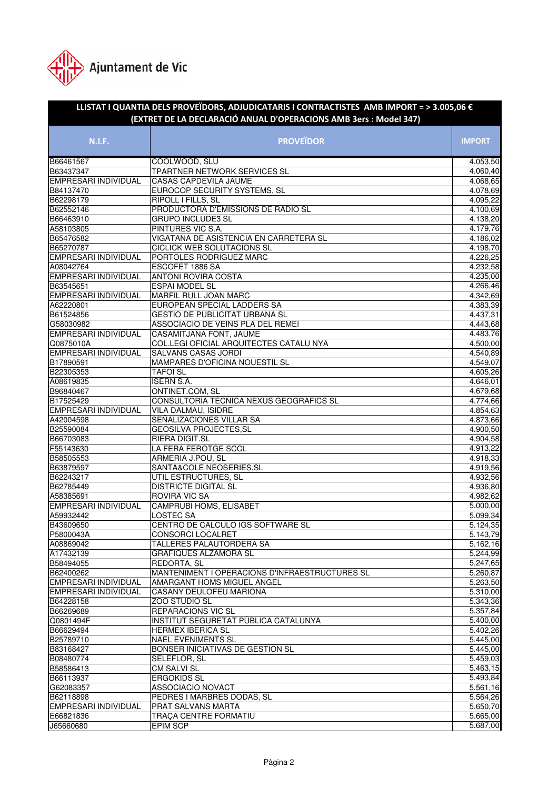

## **N.I.F. PROVEÏDOR IMPORT LLISTAT I QUANTIA DELS PROVEÏDORS, ADJUDICATARIS I CONTRACTISTES AMB IMPORT = > 3.005,06 € (EXTRET DE LA DECLARACIÓ ANUAL D'OPERACIONS AMB 3ers : Model 347)** B66461567 COOLWOOD, SLU 4.053,50 B63437347 TPARTNER NETWORK SERVICES SL 4.060.40 EMPRESARI INDIVIDUAL CASAS CAPDEVILA JAUME 4.068,65 EUROCOP SECURITY SYSTEMS, SL B62298179 RIPOLL I FILLS, SL 4.095,22 B62552146 PRODUCTORA D'EMISSIONS DE RADIO SL 4.100,69 B66463910 GRUPO INCLUDE3 SL 4.138,20 A58103805 PINTURES VIC S.A. 4.179,76 B65476582 VIGATANA DE ASISTENCIA EN CARRETERA SL 4.186,02 B65270787 CICLICK WEB SOLUTACIONS SL 4.198,70 EMPRESARI INDIVIDUAL PORTOLES RODRIGUEZ MARC 4.226,25 A08042764 ESCOFET 1886 SA 4.232,58 EMPRESARI INDIVIDUAL ANTONI ROVIRA COSTA 4.235,00 B63545651 ESPAI MODEL SL 4.266,46 EMPRESARI INDIVIDUAL MARFIL RULL JOAN MARC<br>A62220801 EUROPEAN SPECIAL LADI EUROPEAN SPECIAL LADDERS SA 4.383,39 B61524856 GESTIO DE PUBLICITAT URBANA SL 4.437,31 G58030982 ASSOCIACIO DE VEINS PLA DEL REMEI EMPRESARI INDIVIDUAL CASAMITJANA FONT, JAUME 4.483,76 Q0875010A COL.LEGI OFICIAL ARQUITECTES CATALU NYA 4.500,00 EMPLO SALVANS CASAS JORDI 1999 - 1999 - 1999 - 1999 - 1999 - 1999 - 1999 - 1999 - 1999 - 1999 - 1999 - 1999 - 1 B17890591 MAMPARES D'OFICINA NOUESTIL SL 4.549,07 B22305353 TAFOI SL 4.605,26 A08619835 ISERN S.A. 4.646,01 B96840467 ONTINET.COM, SL 4.679,68 B17525429 CONSULTORIA TÈCNICA NEXUS GEOGRAFICS SL 4.774.66 EMPRESARI INDIVIDUAL VILA DALMAU, ISIDRE 4.854,63 A42004598 SEÑALIZACIONES VILLAR SA 4.873,66 B25590084 GEOSILVA PROJECTES,SL 4.900,50<br>B66703083 RIERA DIGIT.SL 4.904.58 RIERA DIGIT.SL 4.904,58 F55143630 LA FERA FEROTGE SCCL 4.913,22 B58505553 ARMERIA J.POU. SL 4.918.33 B63879597 SANTA&COLE NEOSERIES,SL 4.919,56<br>B62243217 UTIL ESTRUCTURES, SL 4.932,56 B62243217 UTIL ESTRUCTURES, SL B62785449 DISTRICTE DIGITAL SL 4.936,80 A58385691 ROVIRA VIC SA 4.982,62 EMPRESARI INDIVIDUAL CAMPRUBI HOMS, ELISABET A59932442 LOSTEC SA 5.099,34 B43609650 CENTRO DE CALCULO IGS SOFTWARE SL 5.124,35 P5800043A CONSORCI LOCALRET 5.143,79 A08869042 TALLERES PALAUTORDERA SA 5.162.16 A17432139 GRAFIQUES ALZAMORA SL 5.244,99 B58494055 REDORTA, SL 5.247,65 B62400262 MANTENIMENT I OPERACIONS D'INFRAESTRUCTURES SL 5.260,87<br>EMPRESARI INDIVIDUAL AMARGANT HOMS MIGUEL ANGEL ANGEL 5.263,50 AMARGANT HOMS MIGUEL ANGEL 5.263,50 EMPRESARI INDIVIDUAL CASANY DEULOFEU MARIONA 5.310,00 B64228158 ZOO STUDIO SL 5.343,36 **REPARACIONS VIC SL** Q0801494F INSTITUT SEGURETAT PÚBLICA CATALUNYA 5.400,00 B66629494 HERMEX IBERICA SL 5.402,26 B25789710 NAEL EVENIMENTS SL 5.445.00 B83168427 BONSER INICIATIVAS DE GESTION SL 5.445,00 B08480774 SELEFLOR, SL 5.459,03 B58586413 CM SALVI SL 5.463,15 B66113937 ERGOKIDS SL 5.493,84 G62083357 ASSOCIACIO NOVACT ASSOCIACION IN THE SERVICE OF SAMPLE SERVICE OF SAMPLE SERVICE OF SAMPLE SERVICE O B62118898 PEDRES I MARBRES DODAS, SL 5.564,26 EMPRESARI INDIVIDUAL PRAT SALVANS MARTA 5.650,70 E66821836 TRAÇA CENTRE FORMATIU 5.665,00 J65660680 EPIM SCP 5.687,00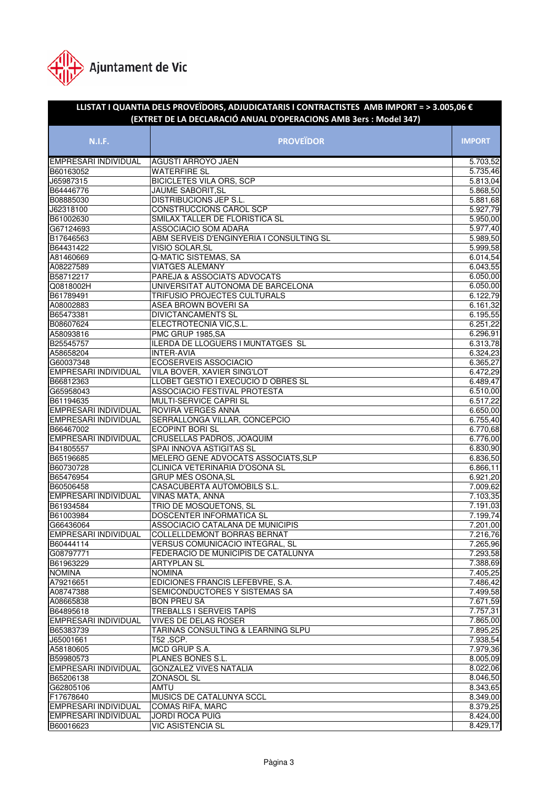

| LLISTAT I QUANTIA DELS PROVEÏDORS, ADJUDICATARIS I CONTRACTISTES AMB IMPORT = > 3.005,06 $\epsilon$<br>(EXTRET DE LA DECLARACIÓ ANUAL D'OPERACIONS AMB 3ers : Model 347) |                                                      |                       |  |
|--------------------------------------------------------------------------------------------------------------------------------------------------------------------------|------------------------------------------------------|-----------------------|--|
|                                                                                                                                                                          |                                                      |                       |  |
| <b>N.I.F.</b>                                                                                                                                                            | <b>PROVEÏDOR</b>                                     | <b>IMPORT</b>         |  |
| EMPRESARI INDIVIDUAL                                                                                                                                                     | <b>AGUSTI ARROYO JAEN</b>                            | 5.703,52              |  |
| B60163052                                                                                                                                                                | <b>WATERFIRE SL</b>                                  | 5.735,46              |  |
| J65987315                                                                                                                                                                | <b>BICICLETES VILA ORS, SCP</b>                      | 5.813,04              |  |
| B64446776                                                                                                                                                                | JAUME SABORIT, SL                                    | 5.868,50              |  |
| B08885030                                                                                                                                                                | DISTRIBUCIONS JEP S.L.                               | $\overline{5.88}1,68$ |  |
| J62318100                                                                                                                                                                | CONSTRUCCIONS CAROL SCP                              | 5.927,79              |  |
| B61002630                                                                                                                                                                | SMILAX TALLER DE FLORISTICA SL                       | 5.950,00              |  |
| G67124693                                                                                                                                                                | ASSOCIACIO SOM ADARA                                 | 5.977,40              |  |
| B17646563                                                                                                                                                                | ABM SERVEIS D'ENGINYERIA I CONSULTING SL             | 5.989,50              |  |
| B64431422                                                                                                                                                                | VISIO SOLAR, SL                                      | 5.999,58              |  |
| A81460669                                                                                                                                                                | Q-MATIC SISTEMAS, SA                                 | 6.014,54              |  |
| A08227589                                                                                                                                                                | <b>VIATGES ALEMANY</b>                               | 6.043,55              |  |
| B58712217                                                                                                                                                                | PAREJA & ASSOCIATS ADVOCATS                          | 6.050,00              |  |
| Q0818002H                                                                                                                                                                | UNIVERSITAT AUTONOMA DE BARCELONA                    | 6.050,00              |  |
| B61789491                                                                                                                                                                | TRIFUSIO PROJECTES CULTURALS                         | 6.122,79<br>6.161,32  |  |
| A08002883                                                                                                                                                                | ASEA BROWN BOVERI SA                                 |                       |  |
| B65473381<br>B08607624                                                                                                                                                   | <b>DIVICTANCAMENTS SL</b><br>ELECTROTECNIA VIC, S.L. | 6.195,55<br>6.251,22  |  |
| A58093816                                                                                                                                                                | PMC GRUP 1985, SA                                    | 6.296,91              |  |
| B25545757                                                                                                                                                                | ILERDA DE LLOGUERS I MUNTATGES SL                    | 6.313,78              |  |
| A58658204                                                                                                                                                                | <b>INTER-AVIA</b>                                    | 6.324,23              |  |
| G60037348                                                                                                                                                                | <b>ECOSERVEIS ASSOCIACIO</b>                         | 6.365,27              |  |
| EMPRESARI INDIVIDUAL                                                                                                                                                     | VILA BOVER, XAVIER SING'LOT                          | 6.472,29              |  |
| B66812363                                                                                                                                                                | LLOBET GESTIO I EXECUCIO D OBRES SL                  | 6.489,47              |  |
| G65958043                                                                                                                                                                | ASSOCIACIO FESTIVAL PROTESTA                         | 6.510,00              |  |
| B61194635                                                                                                                                                                | MULTI-SERVICE CAPRI SL                               | 6.517,22              |  |
| EMPRESARI INDIVIDUAL                                                                                                                                                     | ROVIRA VERGÉS ANNA                                   | 6.650,00              |  |
| EMPRESARI INDIVIDUAL                                                                                                                                                     | SERRALLONGA VILLAR, CONCEPCIO                        | 6.755,40              |  |
| B66467002                                                                                                                                                                | <b>ECOPINT BORI SL</b>                               | 6.770,68              |  |
| EMPRESARI INDIVIDUAL                                                                                                                                                     | CRUSELLAS PADROS, JOAQUIM                            | 6.776,00              |  |
| B41805557                                                                                                                                                                | SPAI INNOVA ASTIGITAS SL                             | 6.830,90              |  |
| B65196685                                                                                                                                                                | MELERO GENE ADVOCATS ASSOCIATS, SLP                  | 6.836,50              |  |
| B60730728                                                                                                                                                                | CLINICA VETERINARIA D'OSONA SL                       | 6.866,11              |  |
| B65476954                                                                                                                                                                | <b>GRUP MÉS OSONA, SL</b>                            | 6.921,20              |  |
| B60506458                                                                                                                                                                | CASACUBERTA AUTOMOBILS S.L.                          | 7.009,62              |  |
| EMPRESARI INDIVIDUAL                                                                                                                                                     | VIÑAS MATA, ANNA                                     | 7.103,35              |  |
| B61934584                                                                                                                                                                | TRIO DE MOSQUETONS, SL                               | 7.191,03              |  |
| B61003984                                                                                                                                                                | DOSCENTER INFORMATICA SL                             | 7.199,74              |  |
| G66436064                                                                                                                                                                | ASSOCIACIO CATALANA DE MUNICIPIS                     | 7.201,00              |  |
| <b>EMPRESARI INDIVIDUAL</b>                                                                                                                                              | <b>COLLELLDEMONT BORRAS BERNAT</b>                   | 7.216,76              |  |
| B60444114                                                                                                                                                                | VERSUS COMUNICACIO INTEGRAL, SL                      | 7.265,96              |  |
| G08797771                                                                                                                                                                | FEDERACIO DE MUNICIPIS DE CATALUNYA                  | 7.293,58              |  |
| B61963229                                                                                                                                                                | <b>ARTYPLAN SL</b>                                   | 7.388,69              |  |
| <b>NOMINA</b>                                                                                                                                                            | <b>NOMINA</b>                                        | 7.405,25              |  |
| A79216651                                                                                                                                                                | EDICIONES FRANCIS LEFEBVRE, S.A.                     | 7.486,42              |  |
| A08747388                                                                                                                                                                | SEMICONDUCTORES Y SISTEMAS SA                        | 7.499,58              |  |
| A08665838                                                                                                                                                                | <b>BON PREU SA</b>                                   | 7.671,59              |  |
| B64895618                                                                                                                                                                | TREBALLS I SERVEIS TAPÍS                             | 7.757,31              |  |
| EMPRESARI INDIVIDUAL                                                                                                                                                     | VIVES DE DELAS ROSER                                 | 7.865,00              |  |
| B65383739                                                                                                                                                                | TARINAS CONSULTING & LEARNING SLPU                   | 7.895,25              |  |
| J65001661                                                                                                                                                                | T52, SCP.                                            | 7.938,54              |  |
| A58180605                                                                                                                                                                | MCD GRUP S.A.                                        | 7.979,36              |  |
| B59980573<br><b>EMPRESARI INDIVIDUAL</b>                                                                                                                                 | PLANES BONES S.L.<br><b>GONZALEZ VIVES NATALIA</b>   | 8.005,09<br>8.022,06  |  |
| B65206138                                                                                                                                                                | ZONASOL SL                                           | 8.046,50              |  |
| G62805106                                                                                                                                                                | AMTU                                                 | 8.343,65              |  |
| F17678640                                                                                                                                                                | MUSICS DE CATALUNYA SCCL                             | 8.349,00              |  |
| EMPRESARI INDIVIDUAL                                                                                                                                                     | COMAS RIFA, MARC                                     | 8.379,25              |  |
| EMPRESARI INDIVIDUAL                                                                                                                                                     | JORDI ROCA PUIG                                      | 8.424,00              |  |
| B60016623                                                                                                                                                                | <b>VIC ASISTENCIA SL</b>                             | 8.429,17              |  |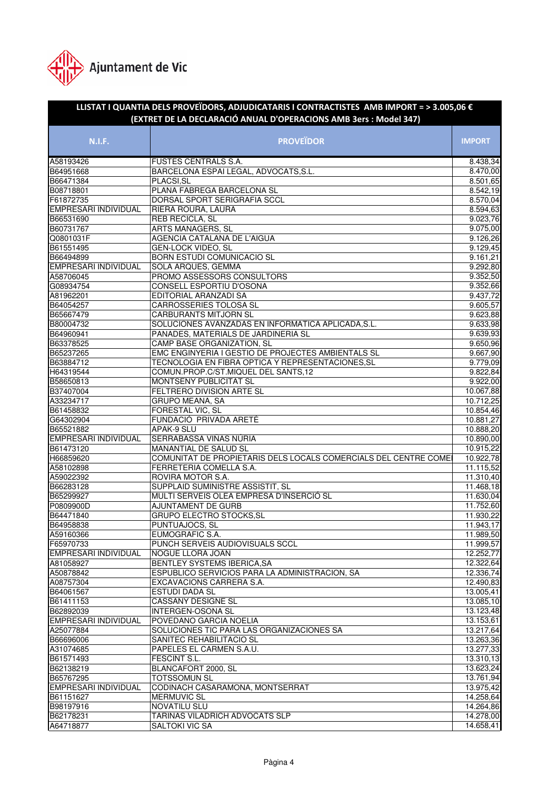

## **N.I.F. PROVEÏDOR IMPORT LLISTAT I QUANTIA DELS PROVEÏDORS, ADJUDICATARIS I CONTRACTISTES AMB IMPORT = > 3.005,06 € (EXTRET DE LA DECLARACIÓ ANUAL D'OPERACIONS AMB 3ers : Model 347)** A58193426 FUSTES CENTRALS S.A. 8.438.34 B64951668 BARCELONA ESPAI LEGAL, ADVOCATS, S.L. 8.470,00 B66471384 PLACSI,SL 8.501,65 B08718801 PLANA FABREGA BARCELONA SL 8.542,19 F61872735 DORSAL SPORT SERIGRAFIA SCCL 8.570,04 EMPRESARI INDIVIDUAL RIERA ROURA, LAURA 8.594,63 B66531690 REB RECICLA, SL 9.023,76 B60731767 ARTS MANAGERS, SL 9.075,00 Q0801031F AGENCIA CATALANA DE L'AIGUA 9.126,26 B61551495 GEN-LOCK VIDEO, SL 9.129,45 B66494899 BORN ESTUDI COMUNICACIO SL 9.161,21 EMPRESARI INDIVIDUAL SOLA ARQUES, GEMMA 19.292,80<br>A58706045 PROMO ASSESSORS CONSULTORS 9.352.50 A58706045 PROMO ASSESSORS CONSULTORS G08934754 CONSELL ESPORTIU D'OSONA 9.352,66 A81962201 EDITORIAL ARANZADI SA 81962201 BA B64054257 CARROSSERIES TOLOSA SL 9.605,57 B65667479 CARBURANTS MITJORN SL 9.623,88 B80004732 SOLUCIONES AVANZADAS EN INFORMATICA APLICADA, S.L. B64960941 PANADES, MATERIALS DE JARDINERIA SL 9.639,93 B63378525 CAMP BASE ORGANIZATION, SL B65237265 EMC ENGINYERIA I GESTIO DE PROJECTES AMBIENTALS SL 9.667,90 B63884712 TECNOLOGIA EN FIBRA OPTICA Y REPRESENTACIONES, SL 9.779,09 H64319544 COMUN.PROP.C/ST.MIQUEL DEL SANTS,12 9.822,84 B58650813 MONTSENY PUBLICITAT SL 89.922.00 B37407004 FELTRERO DIVISION ARTE SL 10.067,88 A33234717 GRUPO MEANA, SA 10.712,25 B61458832 FORESTAL VIC, SL 10.854,46 G64302904 FUNDACIÓ PRIVADA ARETÉ 10.881,27 B65521882 APAK-9 SLU 10.888,20 EMPRESARI INDIVIDUAL SERRABASSA VIÑAS NÚRIA 10.890,000 10.890,000 10.890,000 10.890,00<br>RA1473120 10.915,22 MANANTIAL DE SALUD SL 10.915,22 H66859620 COMUNITAT DE PROPIETARIS DELS LOCALS COMERCIALS DEL CENTRE COME | 10.922.78 A58102898 FERRETERIA COMELLA S.A. 11.115,52<br>A59022392 ROVIRA MOTOR S.A. 11.310,40 A59022392 ROVIRA MOTOR S.A. B66283128 SUPPLAID SUMINISTRE ASSISTIT, SL 11.468,18 B65299927 MULTI SERVEIS OLEA EMPRESA D'INSERCIÓ SL 11.630,04<br>P0809900D AJUNTAMENT DE GURB 11.752.60 P0809900D **AJUNTAMENT DE GURB** B64471840 GRUPO ELECTRO STOCKS, SL 11.930, 22 B64958838 PUNTUAJOCS, SL 11.943,17 A59160366 EUMOGRAFIC S.A. 11.989,50 F65970733 PUNCH SERVEIS AUDIOVISUALS SCCL 11.999,57<br>EMPRESARI INDIVIDUAL NOGUE LLORA JOAN 12.252,77 EMPRESARI INDIVIDUAL NOGUE LLORA JOAN 12.252,77 A81058927 BENTLEY SYSTEMS IBERICA, SA 12.322, 64 A50878842 ESPUBLICO SERVICIOS PARA LA ADMINISTRACION, SA 12.336,74 **EXCAVACIONS CARRERA S.A.** B64061567 ESTUDI DADA SL 13.005,41 B61411153 CASSANY DESIGNE SL 13.085,10<br>B62892039 INTERGEN-OSONA SL 13.123,48 B62892039 INTERGEN-OSONA SL EMPRESARI INDIVIDUAL POVEDANO GARCIA NOELIA 13.153,61 A25077884 SOLUCIONES TIC PARA LAS ORGANIZACIONES SA 13.217,64 B66696006 SANITEC REHABILITACIO SL 13.263.36 A31074685 PAPELES EL CARMEN S.A.U. 13.277,33 **B61571493 FESCINT S.L.** 13.310,13 B62138219 BLANCAFORT 2000, SL 13.623,24 B65767295 TOTSSOMUN SL 13.761,94 EMPRESARI INDIVIDUAL CODINACH CASARAMONA, MONTSERRAT 13.975,42 B61151627 MERMUVIC SL 14.258,64 B98197916 NOVATILU SLU 14.264,86 B62178231 TARINAS VILADRICH ADVOCATS SLP 14.278,00 A64718877 SALTOKI VIC SA 14.658.41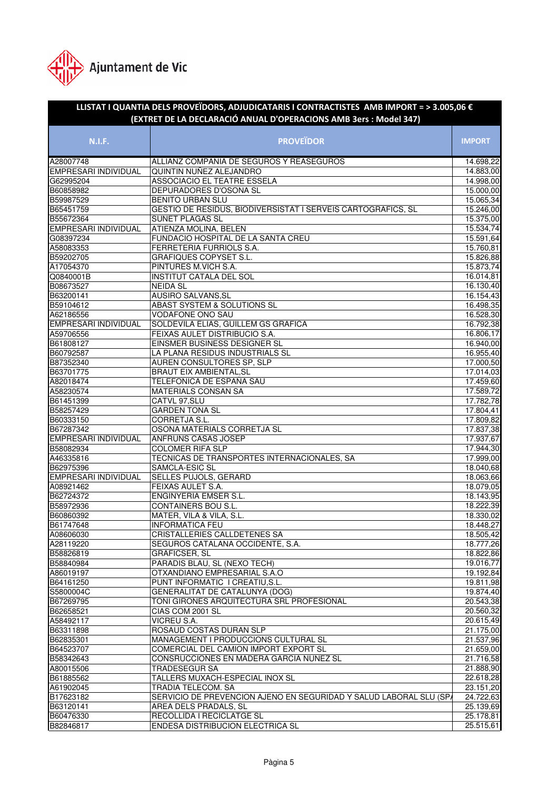

## **N.I.F. PROVEÏDOR IMPORT LLISTAT I QUANTIA DELS PROVEÏDORS, ADJUDICATARIS I CONTRACTISTES AMB IMPORT = > 3.005,06 € (EXTRET DE LA DECLARACIÓ ANUAL D'OPERACIONS AMB 3ers : Model 347)** A28007748 ALLIANZ COMPANIA DE SEGUROS Y REASEGUROS 14.698.22 EMPRESARI INDIVIDUAL QUINTIN NUÑEZ ALEJANDRO 14.883,00 G62995204 ASSOCIACIO EL TEATRE ESSELA 14.998,00<br>B60858982 DEPURADORES D'OSONA SL BEPURADORES D'OSONA SL 15.000,000<br>BENITO URBAN SLU 15.000,000<br>15.065,34 B59987529 BENITO URBAN SLU B65451759 GESTIO DE RESIDUS, BIODIVERSISTAT I SERVEIS CARTOGRAFICS, SL 15.246,00<br>B55672364 SUNET PLAGAS SL 15.375,00 B55672364 SUNET PLAGAS SL EMPRESARI INDIVIDUAL ATIENZA MOLINA, BELEN 15.534,74 G08397234 FUNDACIO HOSPITAL DE LA SANTA CREU 15.591,64 A58083353 FERRETERIA FURRIOLS S.A. 15.760,81 B59202705 GRAFIQUES COPYSET S.L. 15.826,88 A17054370 PINTURES M.VICH S.A. 15.873,74 Q0840001B INSTITUT CATALA DEL SOL 16.014,81 B08673527 NEIDA SL 16.130,40 B63200141 AUSIRO SALVANS, SL 16.154,43 B59104612 ABAST SYSTEM & SOLUTIONS SL 16.498,35 A62186556 VODAFONE ONO SAU 16.528,30 SOLDEVILA ELIAS, GUILLEM GS GRAFICA A59706556 FEIXAS AULET DISTRIBUCIO S.A. 16.806,17<br>16.806,17 FINSMER BUSINESS DESIGNER SL 16.940,00 B61808127 EINSMER BUSINESS DESIGNER SL B60792587 LA PLANA RESIDUS INDUSTRIALS SL 16.955,40 B87352340 AUREN CONSULTORES SP, SLP 17.000,50 B63701775 BRAUT EIX AMBIENTAL,SL 17.014,03 A82018474 TELEFONICA DE ESPAÑA SAU 17.459,60 A58230574 MATERIALS CONSAN SA 17.589,72 B61451399 CATVL 97,SLU 17.782,78 B58257429 GARDEN TONA SL 17.804,41 B60333150 CORRETJA S.L. 17.809,82 B67287342 OSONA MATERIALS CORRETJA SL 17.837,38 EMPRESARI INDIVIDUAL ANFRUNS CASAS JOSEP 17.937,67 B58082934 COLOMER RIFA SLP 17.944,30 A46335816 TECNICAS DE TRANSPORTES INTERNACIONALES, SA 17.999,00 B62975396 SAMCLA-ESIC SL 18.040,68 SELLES PUJOLS, GERARD 18.063,66 A08921462 FEIXAS AULET S.A. 18.079,05 B62724372 ENGINYERIA EMSER S.L. 18.143,95 B58972936 CONTAINERS BOU S.L B60860392 MATER, VILA & VILA, S.L. 18.330,02 B61747648 INFORMATICA FEU 18.448,27 A08606030 CRISTALLERIES CALLDETENES SA 18.505,42 A28119220 SEGUROS CATALANA OCCIDENTE, S.A. 18.777.26 B58826819 GRAFICSER, SL 18.822,86 B58840984 PARADIS BLAU, SL (NEXO TECH) 19.016,77 A86019197 OTXANDIANO EMPRESARIAL S.A.O 19.192,84 B64161250 PUNT INFORMATIC I CREATIU, S.L. 19.811, 98 S5800004C GENERALITAT DE CATALUNYA (DOG) 19.874,40 B67269795 TONI GIRONES ARQUITECTURA SRL PROFESIONAL 20.543,38 **CIAS COM 2001 SL** A58492117 VICREU S.A. 20.615,49 B63311898 ROSAUD COSTAS DURAN SLP 21.175,00 B62835301 MANAGEMENT I PRODUCCIONS CULTURAL SL 21.537,96 B64523707 COMERCIAL DEL CAMION IMPORT EXPORT SL 21.659,00 B58342643 CONSRUCCIONES EN MADERA GARCIA NUNEZ SL 21.716,58 A80015506 TRADESEGUR SA 21.888,90 B61885562 TALLERS MUXACH-ESPECIAL INOX SL 22.618,28 A61902045 TRADIA TELECOM. SA 23.151,20 B17623182 SERVICIO DE PREVENCION AJENO EN SEGURIDAD Y SALUD LABORAL SLU (SPA 24.722,63 B63120141 AREA DELS PRADALS, SL 25.139,69 B60476330 RECOLLIDA I RECICLATGE SL 25.178.81 B82846817 ENDESA DISTRIBUCION ELECTRICA SL 25.515,61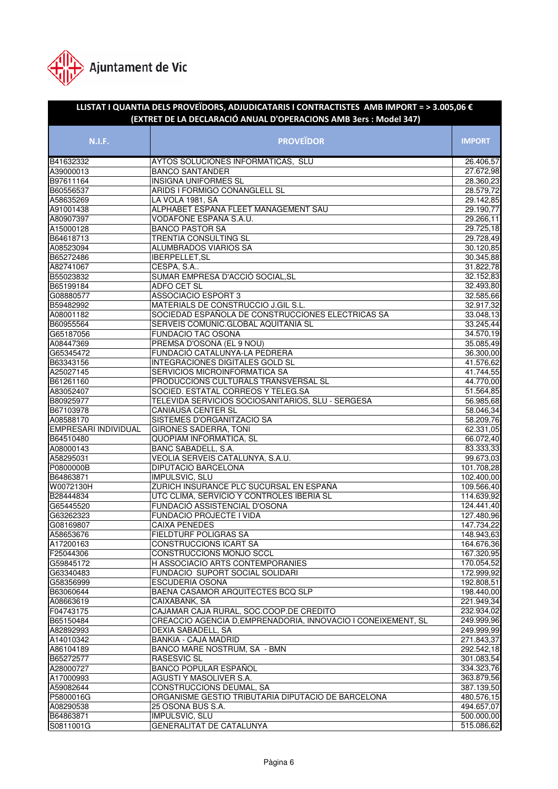

## **N.I.F. PROVEÏDOR IMPORT LLISTAT I QUANTIA DELS PROVEÏDORS, ADJUDICATARIS I CONTRACTISTES AMB IMPORT = > 3.005,06 € (EXTRET DE LA DECLARACIÓ ANUAL D'OPERACIONS AMB 3ers : Model 347)** B41632332 AYTOS SOLUCIONES INFORMATICAS, SLU 26.406,57 A39000013 BANCO SANTANDER 27.672,98 B97611164 INSIGNA UNIFORMES SL 28.360,23 B60556537 ARIDS I FORMIGO CONANGLELL SL<br>A58635269 LA VOLA 1981, SA A58635269 LA VOLA 1981, SA 29.142,85 A91001438 ALPHABET ESPAÑA FLEET MANAGEMENT SAU 29.190,77 A80907397 VODAFONE ESPAÑA S.A.U. A15000128 BANCO PASTOR SA 29.725,18 B64618713 TRENTIA CONSULTING SL 29.728,49 A08523094 ALUMBRADOS VIARIOS SA 30.120,85 B65272486 IBERPELLET,SL 30.345,88 A82741067 CESPA, S.A.. 31.822,78 B55023832 SUMAR EMPRESA D'ACCIÓ SOCIAL,SL 32.152,83 B65199184 ADFO CET SL 32.493,80 G08880577 ASSOCIACIO ESPORT 3 B59482992 MATERIALS DE CONSTRUCCIO J.GIL S.L. 32.917,32 A08001182 SOCIEDAD ESPAÑOLA DE CONSTRUCCIONES ELECTRICAS SA 33.048,13 B60955564 SERVEIS COMUNIC.GLOBAL AQUITANIA SL G65187056 FUNDACIO TAC OSONA 34.570,19 A08447369 PREMSA D'OSONA (EL 9 NOU) 35.085,49 G65345472 FUNDACIÓ CATALUNYA-LA PEDRERA 36.300,00 B63343156 INTEGRACIONES DIGITALES GOLD SL 41.576,62 A25027145 SERVICIOS MICROINFORMATICA SA 41.744,55 B61261160 PRODUCCIONS CULTURALS TRANSVERSAL SL 44.770.00 A83052407 SOCIED. ESTATAL CORREOS Y TELEG.SA 51.564,85 B80925977 TELEVIDA SERVICIOS SOCIOSANITARIOS, SLU - SERGESA 56.985.68 B67103978 CANIAUSA CENTER SL 58.046.34 A08588170 SISTEMES D'ORGANITZACIO SA 58.209,76 EMPRESARI INDIVIDUAL GIRONES SADERRA, TONI 62.331,05 B64510480 QUOPIAM INFORMATICA, SL 66.072,40 A08000143 BANC SABADELL, S.A. 83.333,33 A58295031 VEOLIA SERVEIS CATALUNYA, S.A.U. 99.673,03 P0800000B DIPUTACIO BARCELONA 101.708,28 B64863871 **IMPULSVIC, SLU** W0072130H ZURICH INSURANCE PLC SUCURSAL EN ESPAÑA 109.566,40 B28444834 UTC CLIMA, SERVICIO Y CONTROLES IBERIA SL 114.639,92 G65445520 FUNDACIÓ ASSISTENCIAL D'OSONA 124.441,40 G63262323 FUNDACIO PROJECTE I VIDA 127.480,96 G08169807 CAIXA PENEDES 147.734,22 A58653676 FIELDTURF POLIGRAS SA 148.943,63 A17200163 CONSTRUCCIONS ICART SA 164.676,36 F25044306 CONSTRUCCIONS MONJO SCCL 167.320,95 G59845172 H ASSOCIACIO ARTS CONTEMPORANIES 170.054,52 G63340483 FUNDACIO SUPORT SOCIAL SOLIDARI 172.999,92 G58356999 ESCUDERIA OSONA 192.808,51 B63060644 BAENA CASAMOR ARQUITECTES BCQ SLP A08663619 CAIXABANK, SA 221.949,34 CAJAMAR CAJA RURAL, SOC.COOP.DE CREDITO B65150484 CREACCIO AGENCIA D,EMPRENADORIA, INNOVACIO I CONEIXEMENT, SL 249.999,96 A82892993 DEXIA SABADELL, SA 249.999,99 A14010342 BANKIA - CAJA MADRID 271.843,37 A86104189 BANCO MARE NOSTRUM, SA - BMN 292.542,18 B65272577 RASESVIC SL 301.083,54 A28000727 BANCO POPULAR ESPAÑOL 334.323,76 A17000993 AGUSTI Y MASOLIVER S.A. 363.879,56 A59082644 CONSTRUCCIONS DEUMAL, SA 387.139,50 P5800016G ORGANISME GESTIO TRIBUTARIA DIPUTACIO DE BARCELONA 480.576,15 A08290538 25 OSONA BUS S.A. 494.657,07 B64863871 IMPULSVIC, SLU 500.000,00 S0811001G GENERALITAT DE CATALUNYA 515.086,62